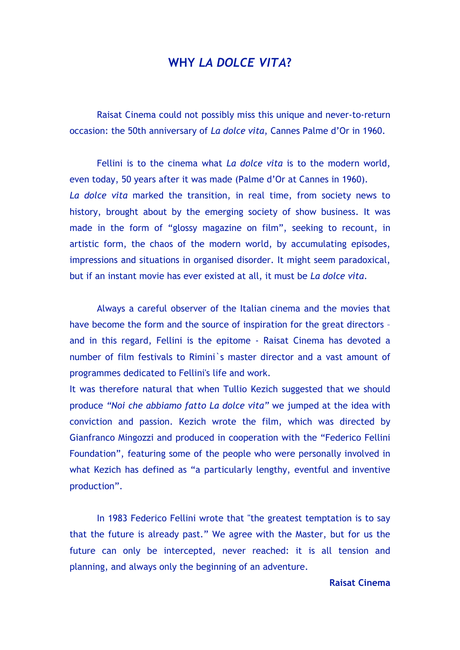### **WHY** *LA DOLCE VITA***?**

Raisat Cinema could not possibly miss this unique and never-to-return occasion: the 50th anniversary of *La dolce vita*, Cannes Palme d'Or in 1960.

Fellini is to the cinema what *La dolce vita* is to the modern world, even today, 50 years after it was made (Palme d'Or at Cannes in 1960). *La dolce vita* marked the transition, in real time, from society news to history, brought about by the emerging society of show business. It was made in the form of "glossy magazine on film", seeking to recount, in artistic form, the chaos of the modern world, by accumulating episodes, impressions and situations in organised disorder. It might seem paradoxical, but if an instant movie has ever existed at all, it must be *La dolce vita*.

Always a careful observer of the Italian cinema and the movies that have become the form and the source of inspiration for the great directors and in this regard, Fellini is the epitome - Raisat Cinema has devoted a number of film festivals to Rimini`s master director and a vast amount of programmes dedicated to Fellini's life and work.

It was therefore natural that when Tullio Kezich suggested that we should produce *"Noi che abbiamo fatto La dolce vita"* we jumped at the idea with conviction and passion. Kezich wrote the film, which was directed by Gianfranco Mingozzi and produced in cooperation with the "Federico Fellini Foundation", featuring some of the people who were personally involved in what Kezich has defined as "a particularly lengthy, eventful and inventive production".

In 1983 Federico Fellini wrote that "the greatest temptation is to say that the future is already past." We agree with the Master, but for us the future can only be intercepted, never reached: it is all tension and planning, and always only the beginning of an adventure.

#### **Raisat Cinema**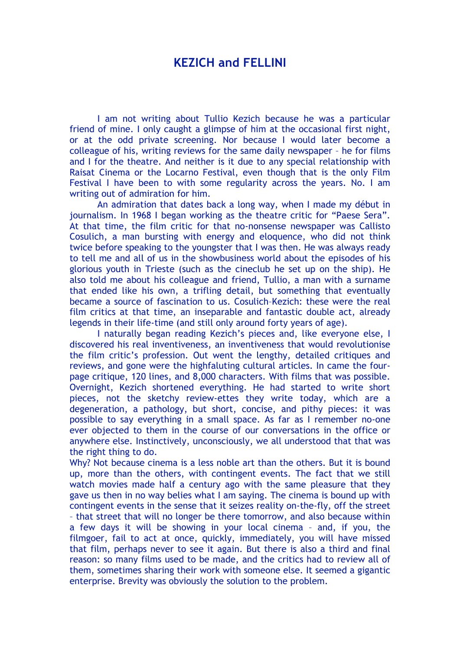## **KEZICH and FELLINI**

I am not writing about Tullio Kezich because he was a particular friend of mine. I only caught a glimpse of him at the occasional first night, or at the odd private screening. Nor because I would later become a colleague of his, writing reviews for the same daily newspaper – he for films and I for the theatre. And neither is it due to any special relationship with Raisat Cinema or the Locarno Festival, even though that is the only Film Festival I have been to with some regularity across the years. No. I am writing out of admiration for him.

An admiration that dates back a long way, when I made my début in journalism. In 1968 I began working as the theatre critic for "Paese Sera". At that time, the film critic for that no-nonsense newspaper was Callisto Cosulich, a man bursting with energy and eloquence, who did not think twice before speaking to the youngster that I was then. He was always ready to tell me and all of us in the showbusiness world about the episodes of his glorious youth in Trieste (such as the cineclub he set up on the ship). He also told me about his colleague and friend, Tullio, a man with a surname that ended like his own, a trifling detail, but something that eventually became a source of fascination to us. Cosulich–Kezich: these were the real film critics at that time, an inseparable and fantastic double act, already legends in their life-time (and still only around forty years of age).

I naturally began reading Kezich's pieces and, like everyone else, I discovered his real inventiveness, an inventiveness that would revolutionise the film critic's profession. Out went the lengthy, detailed critiques and reviews, and gone were the highfaluting cultural articles. In came the fourpage critique, 120 lines, and 8,000 characters. With films that was possible. Overnight, Kezich shortened everything. He had started to write short pieces, not the sketchy review-ettes they write today, which are a degeneration, a pathology, but short, concise, and pithy pieces: it was possible to say everything in a small space. As far as I remember no-one ever objected to them in the course of our conversations in the office or anywhere else. Instinctively, unconsciously, we all understood that that was the right thing to do.

Why? Not because cinema is a less noble art than the others. But it is bound up, more than the others, with contingent events. The fact that we still watch movies made half a century ago with the same pleasure that they gave us then in no way belies what I am saying. The cinema is bound up with contingent events in the sense that it seizes reality on-the-fly, off the street – that street that will no longer be there tomorrow, and also because within a few days it will be showing in your local cinema – and, if you, the filmgoer, fail to act at once, quickly, immediately, you will have missed that film, perhaps never to see it again. But there is also a third and final reason: so many films used to be made, and the critics had to review all of them, sometimes sharing their work with someone else. It seemed a gigantic enterprise. Brevity was obviously the solution to the problem.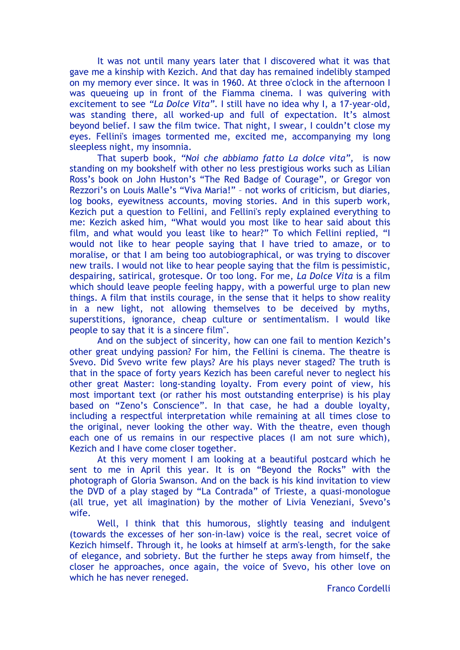It was not until many years later that I discovered what it was that gave me a kinship with Kezich. And that day has remained indelibly stamped on my memory ever since. It was in 1960. At three o'clock in the afternoon I was queueing up in front of the Fiamma cinema. I was quivering with excitement to see *"La Dolce Vita"*. I still have no idea why I, a 17-year-old, was standing there, all worked-up and full of expectation. It's almost beyond belief. I saw the film twice. That night, I swear, I couldn't close my eyes. Fellini's images tormented me, excited me, accompanying my long sleepless night, my insomnia.

That superb book, *"Noi che abbiamo fatto La dolce vita",* is now standing on my bookshelf with other no less prestigious works such as Lilian Ross's book on John Huston's "The Red Badge of Courage", or Gregor von Rezzori's on Louis Malle's "Viva Maria!" – not works of criticism, but diaries, log books, eyewitness accounts, moving stories. And in this superb work, Kezich put a question to Fellini, and Fellini's reply explained everything to me: Kezich asked him, "What would you most like to hear said about this film, and what would you least like to hear?" To which Fellini replied, "I would not like to hear people saying that I have tried to amaze, or to moralise, or that I am being too autobiographical, or was trying to discover new trails. I would not like to hear people saying that the film is pessimistic, despairing, satirical, grotesque. Or too long. For me, *La Dolce Vita* is a film which should leave people feeling happy, with a powerful urge to plan new things. A film that instils courage, in the sense that it helps to show reality in a new light, not allowing themselves to be deceived by myths, superstitions, ignorance, cheap culture or sentimentalism. I would like people to say that it is a sincere film".

And on the subject of sincerity, how can one fail to mention Kezich's other great undying passion? For him, the Fellini is cinema. The theatre is Svevo. Did Svevo write few plays? Are his plays never staged? The truth is that in the space of forty years Kezich has been careful never to neglect his other great Master: long-standing loyalty. From every point of view, his most important text (or rather his most outstanding enterprise) is his play based on "Zeno's Conscience". In that case, he had a double loyalty, including a respectful interpretation while remaining at all times close to the original, never looking the other way. With the theatre, even though each one of us remains in our respective places (I am not sure which), Kezich and I have come closer together.

At this very moment I am looking at a beautiful postcard which he sent to me in April this year. It is on "Beyond the Rocks" with the photograph of Gloria Swanson. And on the back is his kind invitation to view the DVD of a play staged by "La Contrada" of Trieste, a quasi-monologue (all true, yet all imagination) by the mother of Livia Veneziani, Svevo's wife.

Well, I think that this humorous, slightly teasing and indulgent (towards the excesses of her son-in-law) voice is the real, secret voice of Kezich himself. Through it, he looks at himself at arm's-length, for the sake of elegance, and sobriety. But the further he steps away from himself, the closer he approaches, once again, the voice of Svevo, his other love on which he has never reneged.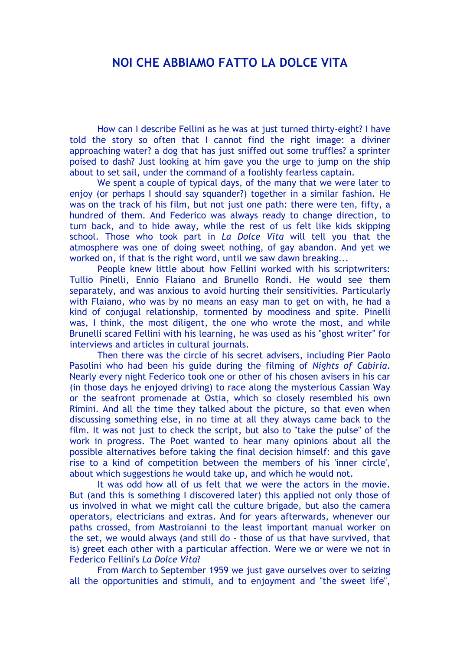## **NOI CHE ABBIAMO FATTO LA DOLCE VITA**

How can I describe Fellini as he was at just turned thirty-eight? I have told the story so often that I cannot find the right image: a diviner approaching water? a dog that has just sniffed out some truffles? a sprinter poised to dash? Just looking at him gave you the urge to jump on the ship about to set sail, under the command of a foolishly fearless captain.

We spent a couple of typical days, of the many that we were later to enjoy (or perhaps I should say squander?) together in a similar fashion. He was on the track of his film, but not just one path: there were ten, fifty, a hundred of them. And Federico was always ready to change direction, to turn back, and to hide away, while the rest of us felt like kids skipping school. Those who took part in *La Dolce Vita* will tell you that the atmosphere was one of doing sweet nothing, of gay abandon. And yet we worked on, if that is the right word, until we saw dawn breaking...

People knew little about how Fellini worked with his scriptwriters: Tullio Pinelli, Ennio Flaiano and Brunello Rondi. He would see them separately, and was anxious to avoid hurting their sensitivities. Particularly with Flaiano, who was by no means an easy man to get on with, he had a kind of conjugal relationship, tormented by moodiness and spite. Pinelli was, I think, the most diligent, the one who wrote the most, and while Brunelli scared Fellini with his learning, he was used as his "ghost writer" for interviews and articles in cultural journals.

Then there was the circle of his secret advisers, including Pier Paolo Pasolini who had been his guide during the filming of *Nights of Cabiria*. Nearly every night Federico took one or other of his chosen avisers in his car (in those days he enjoyed driving) to race along the mysterious Cassian Way or the seafront promenade at Ostia, which so closely resembled his own Rimini. And all the time they talked about the picture, so that even when discussing something else, in no time at all they always came back to the film. It was not just to check the script, but also to "take the pulse" of the work in progress. The Poet wanted to hear many opinions about all the possible alternatives before taking the final decision himself: and this gave rise to a kind of competition between the members of his 'inner circle', about which suggestions he would take up, and which he would not.

It was odd how all of us felt that we were the actors in the movie. But (and this is something I discovered later) this applied not only those of us involved in what we might call the culture brigade, but also the camera operators, electricians and extras. And for years afterwards, whenever our paths crossed, from Mastroianni to the least important manual worker on the set, we would always (and still do - those of us that have survived, that is) greet each other with a particular affection. Were we or were we not in Federico Fellini's *La Dolce Vita*?

From March to September 1959 we just gave ourselves over to seizing all the opportunities and stimuli, and to enjoyment and "the sweet life",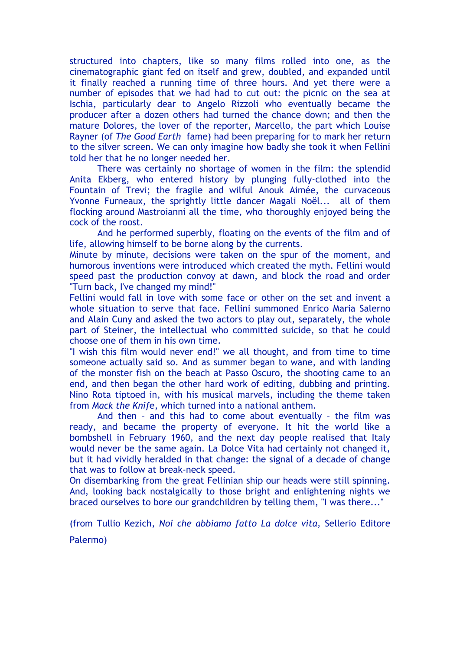structured into chapters, like so many films rolled into one, as the cinematographic giant fed on itself and grew, doubled, and expanded until it finally reached a running time of three hours. And yet there were a number of episodes that we had had to cut out: the picnic on the sea at Ischia, particularly dear to Angelo Rizzoli who eventually became the producer after a dozen others had turned the chance down; and then the mature Dolores, the lover of the reporter, Marcello, the part which Louise Rayner (of *The Good Earth* fame) had been preparing for to mark her return to the silver screen. We can only imagine how badly she took it when Fellini told her that he no longer needed her.

There was certainly no shortage of women in the film: the splendid Anita Ekberg, who entered history by plunging fully-clothed into the Fountain of Trevi; the fragile and wilful Anouk Aimée, the curvaceous Yvonne Furneaux, the sprightly little dancer Magali Noël... all of them flocking around Mastroianni all the time, who thoroughly enjoyed being the cock of the roost.

And he performed superbly, floating on the events of the film and of life, allowing himself to be borne along by the currents.

Minute by minute, decisions were taken on the spur of the moment, and humorous inventions were introduced which created the myth. Fellini would speed past the production convoy at dawn, and block the road and order "Turn back, I've changed my mind!"

Fellini would fall in love with some face or other on the set and invent a whole situation to serve that face. Fellini summoned Enrico Maria Salerno and Alain Cuny and asked the two actors to play out, separately, the whole part of Steiner, the intellectual who committed suicide, so that he could choose one of them in his own time.

"I wish this film would never end!" we all thought, and from time to time someone actually said so. And as summer began to wane, and with landing of the monster fish on the beach at Passo Oscuro, the shooting came to an end, and then began the other hard work of editing, dubbing and printing. Nino Rota tiptoed in, with his musical marvels, including the theme taken from *Mack the Knif*e, which turned into a national anthem.

And then – and this had to come about eventually – the film was ready, and became the property of everyone. It hit the world like a bombshell in February 1960, and the next day people realised that Italy would never be the same again. La Dolce Vita had certainly not changed it, but it had vividly heralded in that change: the signal of a decade of change that was to follow at break-neck speed.

On disembarking from the great Fellinian ship our heads were still spinning. And, looking back nostalgically to those bright and enlightening nights we braced ourselves to bore our grandchildren by telling them, "I was there..."

(from Tullio Kezich, *Noi che abbiamo fatto La dolce vita,* Sellerio Editore

Palermo)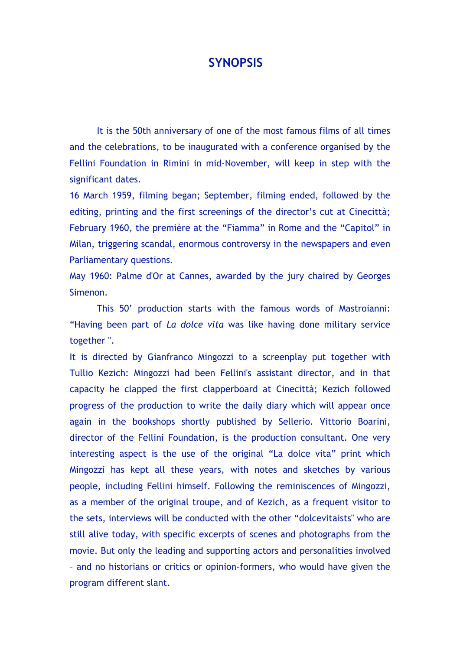### **SYNOPSIS**

It is the 50th anniversary of one of the most famous films of all times and the celebrations, to be inaugurated with a conference organised by the Fellini Foundation in Rimini in mid-November, will keep in step with the significant dates.

16 March 1959, filming began; September, filming ended, followed by the editing, printing and the first screenings of the director's cut at Cinecittà; February 1960, the première at the "Fiamma" in Rome and the "Capitol" in Milan, triggering scandal, enormous controversy in the newspapers and even Parliamentary questions.

May 1960: Palme d'Or at Cannes, awarded by the jury chaired by Georges Simenon.

This 50' production starts with the famous words of Mastroianni: "Having been part of *La dolce vita* was like having done military service together ".

It is directed by Gianfranco Mingozzi to a screenplay put together with Tullio Kezich: Mingozzi had been Fellini's assistant director, and in that capacity he clapped the first clapperboard at Cinecittà; Kezich followed progress of the production to write the daily diary which will appear once again in the bookshops shortly published by Sellerio. Vittorio Boarini, director of the Fellini Foundation, is the production consultant. One very interesting aspect is the use of the original "La dolce vita" print which Mingozzi has kept all these years, with notes and sketches by various people, including Fellini himself. Following the reminiscences of Mingozzi, as a member of the original troupe, and of Kezich, as a frequent visitor to the sets, interviews will be conducted with the other "dolcevitaists" who are still alive today, with specific excerpts of scenes and photographs from the movie. But only the leading and supporting actors and personalities involved – and no historians or critics or opinion-formers, who would have given the program different slant.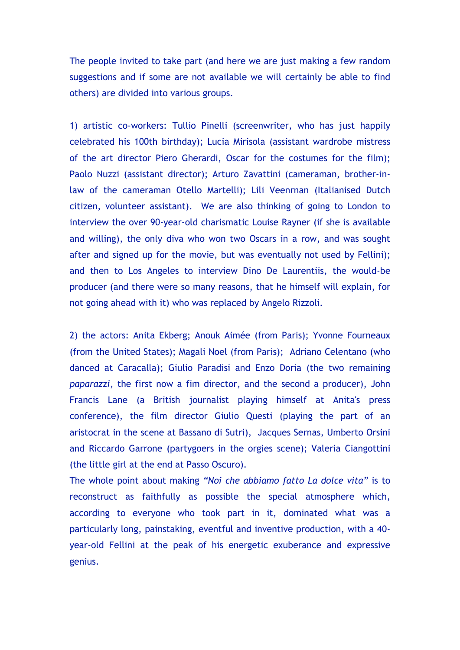The people invited to take part (and here we are just making a few random suggestions and if some are not available we will certainly be able to find others) are divided into various groups.

1) artistic co-workers: Tullio Pinelli (screenwriter, who has just happily celebrated his 100th birthday); Lucia Mirisola (assistant wardrobe mistress of the art director Piero Gherardi, Oscar for the costumes for the film); Paolo Nuzzi (assistant director); Arturo Zavattini (cameraman, brother-inlaw of the cameraman Otello Martelli); Lili Veenrnan (Italianised Dutch citizen, volunteer assistant). We are also thinking of going to London to interview the over 90-year-old charismatic Louise Rayner (if she is available and willing), the only diva who won two Oscars in a row, and was sought after and signed up for the movie, but was eventually not used by Fellini); and then to Los Angeles to interview Dino De Laurentiis, the would-be producer (and there were so many reasons, that he himself will explain, for not going ahead with it) who was replaced by Angelo Rizzoli.

2) the actors: Anita Ekberg; Anouk Aimée (from Paris); Yvonne Fourneaux (from the United States); Magali Noel (from Paris); Adriano Celentano (who danced at Caracalla); Giulio Paradisi and Enzo Doria (the two remaining *paparazzi*, the first now a fim director, and the second a producer), John Francis Lane (a British journalist playing himself at Anita's press conference), the film director Giulio Questi (playing the part of an aristocrat in the scene at Bassano di Sutri), Jacques Sernas, Umberto Orsini and Riccardo Garrone (partygoers in the orgies scene); Valeria Ciangottini (the little girl at the end at Passo Oscuro).

The whole point about making *"Noi che abbiamo fatto La dolce vita"* is to reconstruct as faithfully as possible the special atmosphere which, according to everyone who took part in it, dominated what was a particularly long, painstaking, eventful and inventive production, with a 40 year-old Fellini at the peak of his energetic exuberance and expressive genius.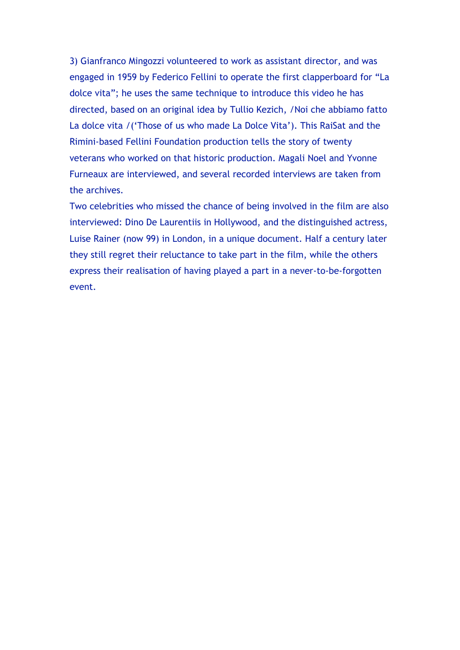3) Gianfranco Mingozzi volunteered to work as assistant director, and was engaged in 1959 by Federico Fellini to operate the first clapperboard for "La dolce vita"; he uses the same technique to introduce this video he has directed, based on an original idea by Tullio Kezich, /Noi che abbiamo fatto La dolce vita /('Those of us who made La Dolce Vita'). This RaiSat and the Rimini-based Fellini Foundation production tells the story of twenty veterans who worked on that historic production. Magali Noel and Yvonne Furneaux are interviewed, and several recorded interviews are taken from the archives.

Two celebrities who missed the chance of being involved in the film are also interviewed: Dino De Laurentiis in Hollywood, and the distinguished actress, Luise Rainer (now 99) in London, in a unique document. Half a century later they still regret their reluctance to take part in the film, while the others express their realisation of having played a part in a never-to-be-forgotten event.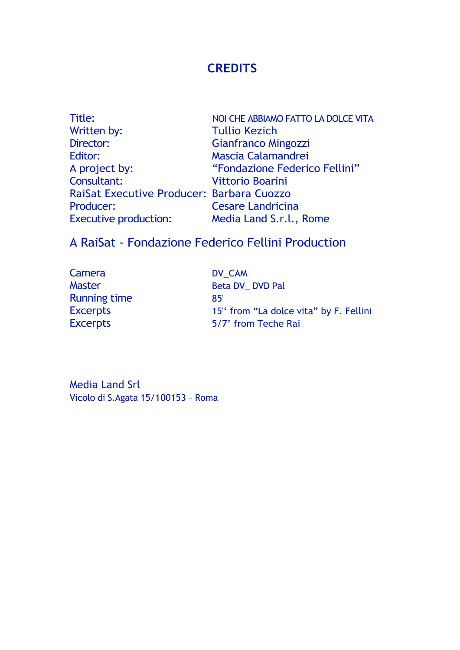# **CREDITS**

| Title:                                    | NOI CHE ABBIAMO FATTO LA DOLCE VITA |
|-------------------------------------------|-------------------------------------|
| Written by:                               | <b>Tullio Kezich</b>                |
| Director:                                 | Gianfranco Mingozzi                 |
| Editor:                                   | Mascia Calamandrei                  |
| A project by:                             | "Fondazione Federico Fellini"       |
| Consultant:                               | <b>Vittorio Boarini</b>             |
| RaiSat Executive Producer: Barbara Cuozzo |                                     |
| Producer:                                 | <b>Cesare Landricina</b>            |
| <b>Executive production:</b>              | Media Land S.r.l., Rome             |

# A RaiSat - Fondazione Federico Fellini Production

| Camera              | DV CAM                                 |
|---------------------|----------------------------------------|
| <b>Master</b>       | Beta DV DVD Pal                        |
| <b>Running time</b> | 85'                                    |
| <b>Excerpts</b>     | 15" from "La dolce vita" by F. Fellini |
| <b>Excerpts</b>     | 5/7' from Teche Rai                    |

Media Land Srl Vicolo di S.Agata 15/100153 – Roma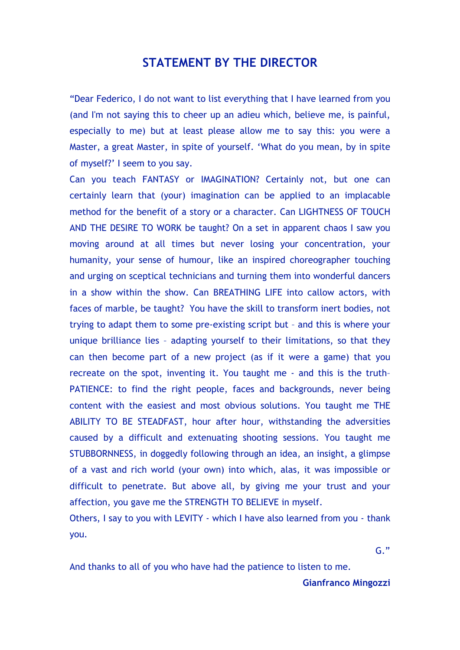### **STATEMENT BY THE DIRECTOR**

"Dear Federico, I do not want to list everything that I have learned from you (and I'm not saying this to cheer up an adieu which, believe me, is painful, especially to me) but at least please allow me to say this: you were a Master, a great Master, in spite of yourself. 'What do you mean, by in spite of myself?' I seem to you say.

Can you teach FANTASY or IMAGINATION? Certainly not, but one can certainly learn that (your) imagination can be applied to an implacable method for the benefit of a story or a character. Can LIGHTNESS OF TOUCH AND THE DESIRE TO WORK be taught? On a set in apparent chaos I saw you moving around at all times but never losing your concentration, your humanity, your sense of humour, like an inspired choreographer touching and urging on sceptical technicians and turning them into wonderful dancers in a show within the show. Can BREATHING LIFE into callow actors, with faces of marble, be taught? You have the skill to transform inert bodies, not trying to adapt them to some pre-existing script but – and this is where your unique brilliance lies – adapting yourself to their limitations, so that they can then become part of a new project (as if it were a game) that you recreate on the spot, inventing it. You taught me - and this is the truth– PATIENCE: to find the right people, faces and backgrounds, never being content with the easiest and most obvious solutions. You taught me THE ABILITY TO BE STEADFAST, hour after hour, withstanding the adversities caused by a difficult and extenuating shooting sessions. You taught me STUBBORNNESS, in doggedly following through an idea, an insight, a glimpse of a vast and rich world (your own) into which, alas, it was impossible or difficult to penetrate. But above all, by giving me your trust and your affection, you gave me the STRENGTH TO BELIEVE in myself.

Others, I say to you with LEVITY - which I have also learned from you - thank you.

 $G^{\prime}$ 

And thanks to all of you who have had the patience to listen to me.

#### **Gianfranco Mingozzi**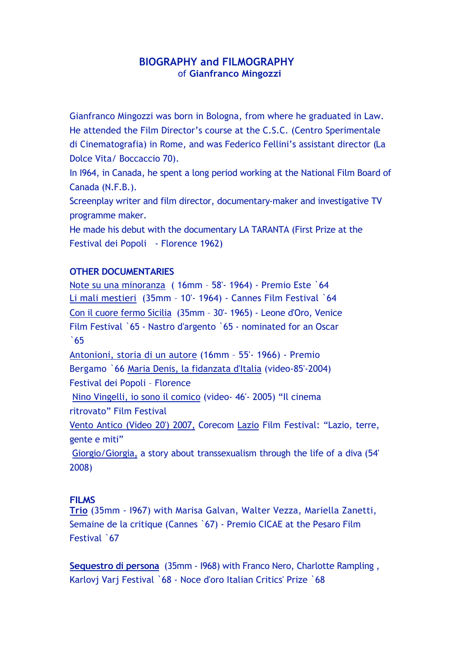#### **BIOGRAPHY and FILMOGRAPHY**  of **Gianfranco Mingozzi**

Gianfranco Mingozzi was born in Bologna, from where he graduated in Law. He attended the Film Director's course at the C.S.C. (Centro Sperimentale di Cinematografia) in Rome, and was Federico Fellini's assistant director (La Dolce Vita/ Boccaccio 70).

In I964, in Canada, he spent a long period working at the National Film Board of Canada (N.F.B.).

Screenplay writer and film director, documentary-maker and investigative TV programme maker.

He made his debut with the documentary LA TARANTA (First Prize at the Festival dei Popoli - Florence 1962)

#### **OTHER DOCUMENTARIES**

Note su una minoranza ( 16mm – 58'- 1964) - Premio Este `64 Li mali mestieri (35mm – 10'- 1964) - Cannes Film Festival `64 Con il cuore fermo Sicilia (35mm – 30'- 1965) - Leone d'Oro, Venice Film Festival `65 - Nastro d'argento `65 - nominated for an Oscar `65 Antonioni, storia di un autore (16mm – 55'- 1966) - Premio

Bergamo `66 Maria Denis, la fidanzata d'Italia (video-85'-2004) Festival dei Popoli – Florence

Nino Vingelli, io sono il comico (video- 46'- 2005) "Il cinema ritrovato" Film Festival

Vento Antico (Video 20') 2007, Corecom Lazio Film Festival: "Lazio, terre, gente e miti"

Giorgio/Giorgia, a story about transsexualism through the life of a diva (54' 2008)

#### **FILMS**

**Trio** (35mm - I967) with Marisa Galvan, Walter Vezza, Mariella Zanetti, Semaine de la critique (Cannes `67) - Premio CICAE at the Pesaro Film Festival `67

**Sequestro di persona** (35mm - I968) with Franco Nero, Charlotte Rampling , Karlovi Vari Festival `68 - Noce d'oro Italian Critics' Prize `68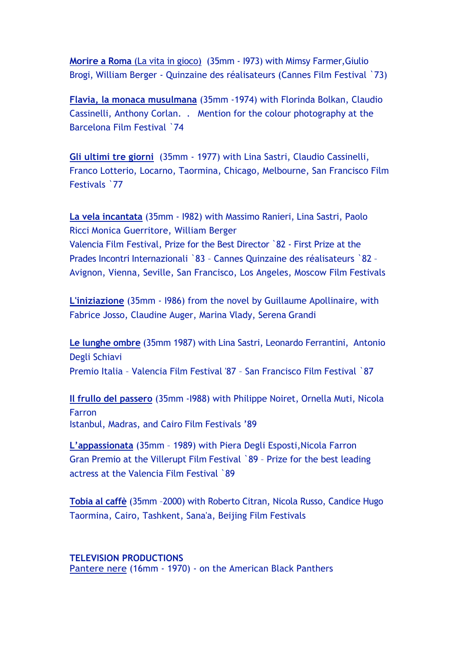**Morire a Roma** (La vita in gioco) (35mm - I973) with Mimsy Farmer,Giulio Brogi, William Berger - Quinzaine des réalisateurs (Cannes Film Festival `73)

**Flavia, la monaca musulmana** (35mm -1974) with Florinda Bolkan, Claudio Cassinelli, Anthony Corlan. . Mention for the colour photography at the Barcelona Film Festival `74

**Gli ultimi tre giorni** (35mm - 1977) with Lina Sastri, Claudio Cassinelli, Franco Lotterio, Locarno, Taormina, Chicago, Melbourne, San Francisco Film Festivals `77

**La vela incantata** (35mm - I982) with Massimo Ranieri, Lina Sastri, Paolo Ricci Monica Guerritore, William Berger Valencia Film Festival, Prize for the Best Director `82 - First Prize at the Prades Incontri Internazionali `83 – Cannes Quinzaine des réalisateurs `82 – Avignon, Vienna, Seville, San Francisco, Los Angeles, Moscow Film Festivals

**L'iniziazione** (35mm - I986) from the novel by Guillaume Apollinaire, with Fabrice Josso, Claudine Auger, Marina Vlady, Serena Grandi

**Le lunghe ombre** (35mm 1987) with Lina Sastri, Leonardo Ferrantini, Antonio Degli Schiavi Premio Italia – Valencia Film Festival '87 – San Francisco Film Festival `87

**Il frullo del passero** (35mm -I988) with Philippe Noiret, Ornella Muti, Nicola Farron Istanbul, Madras, and Cairo Film Festivals '89

**L'appassionata** (35mm – 1989) with Piera Degli Esposti,Nicola Farron Gran Premio at the Villerupt Film Festival `89 – Prize for the best leading actress at the Valencia Film Festival `89

**Tobia al caffè** (35mm –2000) with Roberto Citran, Nicola Russo, Candice Hugo Taormina, Cairo, Tashkent, Sana'a, Beijing Film Festivals

**TELEVISION PRODUCTIONS**  Pantere nere (16mm - 1970) - on the American Black Panthers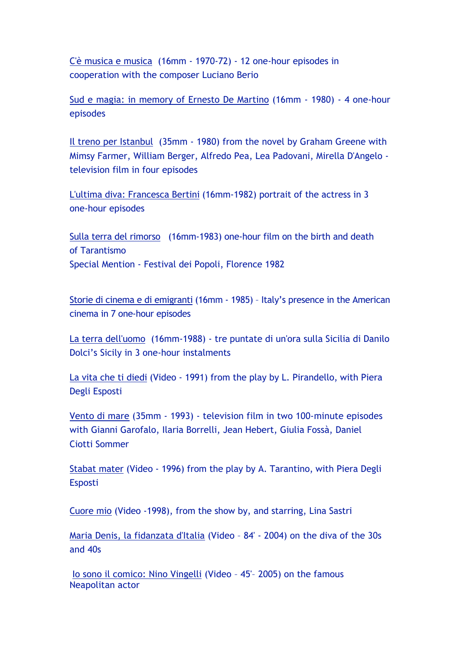C'è musica e musica (16mm - 1970-72) - 12 one-hour episodes in cooperation with the composer Luciano Berio

Sud e magia: in memory of Ernesto De Martino (16mm - 1980) - 4 one-hour episodes

Il treno per Istanbul (35mm - 1980) from the novel by Graham Greene with Mimsy Farmer, William Berger, Alfredo Pea, Lea Padovani, Mirella D'Angelo television film in four episodes

L'ultima diva: Francesca Bertini (16mm-1982) portrait of the actress in 3 one-hour episodes

Sulla terra del rimorso (16mm-1983) one-hour film on the birth and death of Tarantismo Special Mention - Festival dei Popoli, Florence 1982

Storie di cinema e di emigranti (16mm - 1985) – Italy's presence in the American cinema in 7 one-hour episodes

La terra dell'uomo (16mm-1988) - tre puntate di un'ora sulla Sicilia di Danilo Dolci's Sicily in 3 one-hour instalments

La vita che ti diedi (Video - 1991) from the play by L. Pirandello, with Piera Degli Esposti

Vento di mare (35mm - 1993) - television film in two 100-minute episodes with Gianni Garofalo, Ilaria Borrelli, Jean Hebert, Giulia Fossà, Daniel Ciotti Sommer

Stabat mater (Video - 1996) from the play by A. Tarantino, with Piera Degli Esposti

Cuore mio (Video -1998), from the show by, and starring, Lina Sastri

Maria Denis, la fidanzata d'Italia (Video – 84' - 2004) on the diva of the 30s and 40s

Io sono il comico: Nino Vingelli (Video – 45'– 2005) on the famous Neapolitan actor